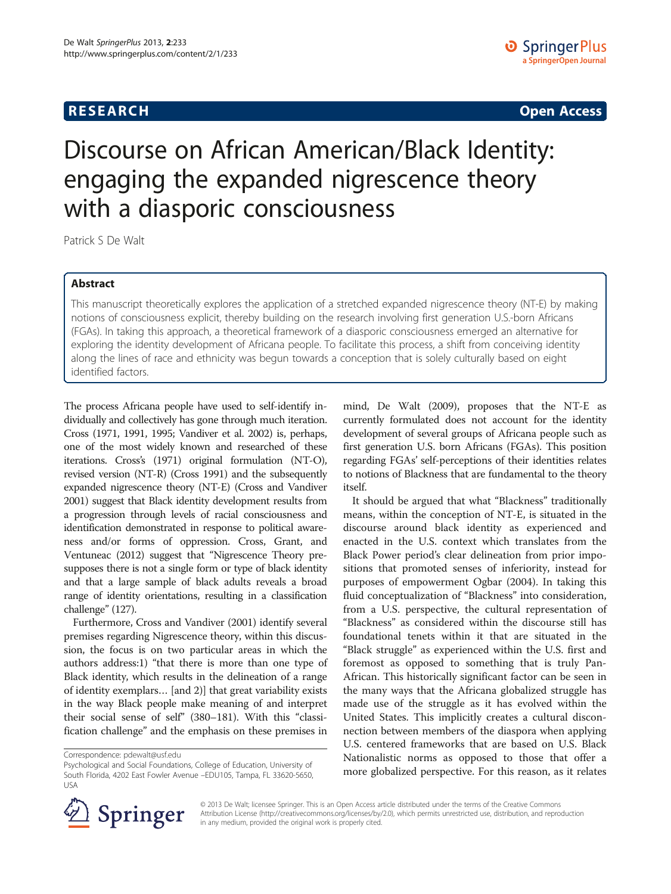# **RESEARCH RESEARCH CONSUMING ACCESS**

# Discourse on African American/Black Identity: engaging the expanded nigrescence theory with a diasporic consciousness

Patrick S De Walt

## Abstract

This manuscript theoretically explores the application of a stretched expanded nigrescence theory (NT-E) by making notions of consciousness explicit, thereby building on the research involving first generation U.S.-born Africans (FGAs). In taking this approach, a theoretical framework of a diasporic consciousness emerged an alternative for exploring the identity development of Africana people. To facilitate this process, a shift from conceiving identity along the lines of race and ethnicity was begun towards a conception that is solely culturally based on eight identified factors.

The process Africana people have used to self-identify individually and collectively has gone through much iteration. Cross [\(1971](#page-8-0), [1991, 1995](#page-8-0); Vandiver et al. [2002](#page-9-0)) is, perhaps, one of the most widely known and researched of these iterations. Cross's [\(1971\)](#page-8-0) original formulation (NT-O), revised version (NT-R) (Cross [1991](#page-8-0)) and the subsequently expanded nigrescence theory (NT-E) (Cross and Vandiver [2001\)](#page-9-0) suggest that Black identity development results from a progression through levels of racial consciousness and identification demonstrated in response to political awareness and/or forms of oppression. Cross, Grant, and Ventuneac [\(2012](#page-8-0)) suggest that "Nigrescence Theory presupposes there is not a single form or type of black identity and that a large sample of black adults reveals a broad range of identity orientations, resulting in a classification challenge" (127).

Furthermore, Cross and Vandiver [\(2001\)](#page-8-0) identify several premises regarding Nigrescence theory, within this discussion, the focus is on two particular areas in which the authors address:1) "that there is more than one type of Black identity, which results in the delineation of a range of identity exemplars… [and 2)] that great variability exists in the way Black people make meaning of and interpret their social sense of self" (380–181). With this "classification challenge" and the emphasis on these premises in

mind, De Walt [\(2009\)](#page-8-0), proposes that the NT-E as currently formulated does not account for the identity development of several groups of Africana people such as first generation U.S. born Africans (FGAs). This position regarding FGAs' self-perceptions of their identities relates to notions of Blackness that are fundamental to the theory itself.

It should be argued that what "Blackness" traditionally means, within the conception of NT-E, is situated in the discourse around black identity as experienced and enacted in the U.S. context which translates from the Black Power period's clear delineation from prior impositions that promoted senses of inferiority, instead for purposes of empowerment Ogbar ([2004\)](#page-9-0). In taking this fluid conceptualization of "Blackness" into consideration, from a U.S. perspective, the cultural representation of "Blackness" as considered within the discourse still has foundational tenets within it that are situated in the "Black struggle" as experienced within the U.S. first and foremost as opposed to something that is truly Pan-African. This historically significant factor can be seen in the many ways that the Africana globalized struggle has made use of the struggle as it has evolved within the United States. This implicitly creates a cultural disconnection between members of the diaspora when applying U.S. centered frameworks that are based on U.S. Black Nationalistic norms as opposed to those that offer a more globalized perspective. For this reason, as it relates



© 2013 De Walt; licensee Springer. This is an Open Access article distributed under the terms of the Creative Commons Attribution License [\(http://creativecommons.org/licenses/by/2.0\)](http://creativecommons.org/licenses/by/2.0), which permits unrestricted use, distribution, and reproduction in any medium, provided the original work is properly cited.

Correspondence: [pdewalt@usf.edu](mailto:pdewalt@usf.edu)

Psychological and Social Foundations, College of Education, University of South Florida, 4202 East Fowler Avenue –EDU105, Tampa, FL 33620-5650, USA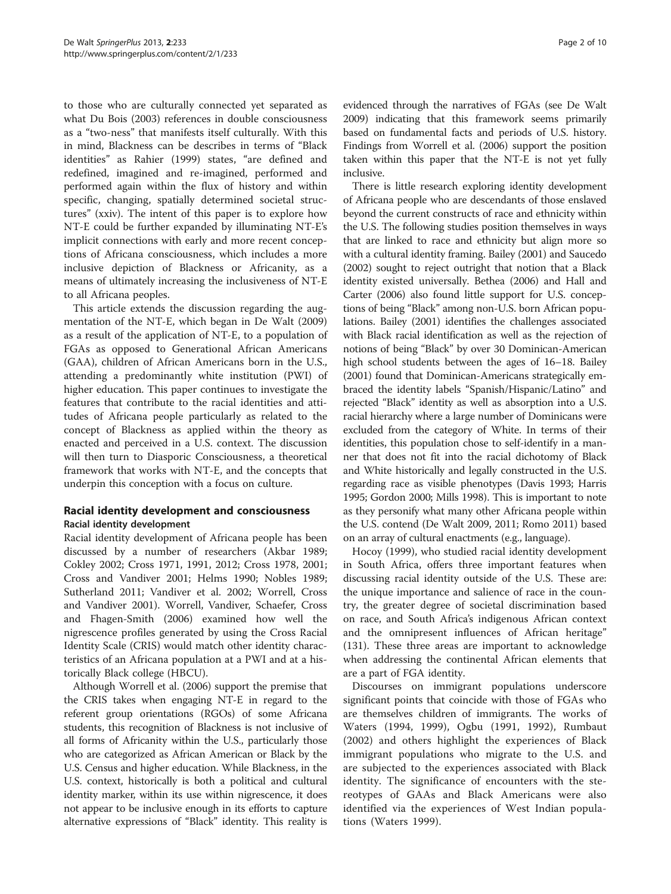to those who are culturally connected yet separated as what Du Bois ([2003](#page-8-0)) references in double consciousness as a "two-ness" that manifests itself culturally. With this in mind, Blackness can be describes in terms of "Black identities" as Rahier [\(1999\)](#page-9-0) states, "are defined and redefined, imagined and re-imagined, performed and performed again within the flux of history and within specific, changing, spatially determined societal structures" (xxiv). The intent of this paper is to explore how NT-E could be further expanded by illuminating NT-E's implicit connections with early and more recent conceptions of Africana consciousness, which includes a more inclusive depiction of Blackness or Africanity, as a means of ultimately increasing the inclusiveness of NT-E to all Africana peoples.

This article extends the discussion regarding the augmentation of the NT-E, which began in De Walt ([2009](#page-8-0)) as a result of the application of NT-E, to a population of FGAs as opposed to Generational African Americans (GAA), children of African Americans born in the U.S., attending a predominantly white institution (PWI) of higher education. This paper continues to investigate the features that contribute to the racial identities and attitudes of Africana people particularly as related to the concept of Blackness as applied within the theory as enacted and perceived in a U.S. context. The discussion will then turn to Diasporic Consciousness, a theoretical framework that works with NT-E, and the concepts that underpin this conception with a focus on culture.

## Racial identity development and consciousness Racial identity development

Racial identity development of Africana people has been discussed by a number of researchers (Akbar [1989](#page-8-0); Cokley [2002;](#page-8-0) Cross [1971](#page-8-0), [1991](#page-8-0), [2012;](#page-8-0) Cross [1978, 2001](#page-8-0); Cross and Vandiver [2001](#page-8-0); Helms [1990;](#page-8-0) Nobles [1989](#page-8-0); Sutherland [2011;](#page-9-0) Vandiver et al. [2002](#page-9-0); Worrell, Cross and Vandiver [2001\)](#page-9-0). Worrell, Vandiver, Schaefer, Cross and Fhagen-Smith [\(2006](#page-9-0)) examined how well the nigrescence profiles generated by using the Cross Racial Identity Scale (CRIS) would match other identity characteristics of an Africana population at a PWI and at a historically Black college (HBCU).

Although Worrell et al. [\(2006](#page-9-0)) support the premise that the CRIS takes when engaging NT-E in regard to the referent group orientations (RGOs) of some Africana students, this recognition of Blackness is not inclusive of all forms of Africanity within the U.S., particularly those who are categorized as African American or Black by the U.S. Census and higher education. While Blackness, in the U.S. context, historically is both a political and cultural identity marker, within its use within nigrescence, it does not appear to be inclusive enough in its efforts to capture alternative expressions of "Black" identity. This reality is

evidenced through the narratives of FGAs (see De Walt [2009](#page-8-0)) indicating that this framework seems primarily based on fundamental facts and periods of U.S. history. Findings from Worrell et al. ([2006\)](#page-9-0) support the position taken within this paper that the NT-E is not yet fully inclusive.

There is little research exploring identity development of Africana people who are descendants of those enslaved beyond the current constructs of race and ethnicity within the U.S. The following studies position themselves in ways that are linked to race and ethnicity but align more so with a cultural identity framing. Bailey [\(2001](#page-8-0)) and Saucedo ([2002](#page-9-0)) sought to reject outright that notion that a Black identity existed universally. Bethea ([2006](#page-8-0)) and Hall and Carter ([2006\)](#page-8-0) also found little support for U.S. conceptions of being "Black" among non-U.S. born African populations. Bailey ([2001\)](#page-8-0) identifies the challenges associated with Black racial identification as well as the rejection of notions of being "Black" by over 30 Dominican-American high school students between the ages of 16–18. Bailey ([2001](#page-8-0)) found that Dominican-Americans strategically embraced the identity labels "Spanish/Hispanic/Latino" and rejected "Black" identity as well as absorption into a U.S. racial hierarchy where a large number of Dominicans were excluded from the category of White. In terms of their identities, this population chose to self-identify in a manner that does not fit into the racial dichotomy of Black and White historically and legally constructed in the U.S. regarding race as visible phenotypes (Davis [1993](#page-8-0); Harris [1995;](#page-8-0) Gordon [2000](#page-8-0); Mills [1998](#page-8-0)). This is important to note as they personify what many other Africana people within the U.S. contend (De Walt [2009](#page-8-0), [2011;](#page-8-0) Romo [2011\)](#page-9-0) based on an array of cultural enactments (e.g., language).

Hocoy ([1999](#page-8-0)), who studied racial identity development in South Africa, offers three important features when discussing racial identity outside of the U.S. These are: the unique importance and salience of race in the country, the greater degree of societal discrimination based on race, and South Africa's indigenous African context and the omnipresent influences of African heritage" (131). These three areas are important to acknowledge when addressing the continental African elements that are a part of FGA identity.

Discourses on immigrant populations underscore significant points that coincide with those of FGAs who are themselves children of immigrants. The works of Waters ([1994, 1999\)](#page-9-0), Ogbu [\(1991](#page-9-0), [1992](#page-9-0)), Rumbaut ([2002](#page-9-0)) and others highlight the experiences of Black immigrant populations who migrate to the U.S. and are subjected to the experiences associated with Black identity. The significance of encounters with the stereotypes of GAAs and Black Americans were also identified via the experiences of West Indian populations (Waters [1999](#page-9-0)).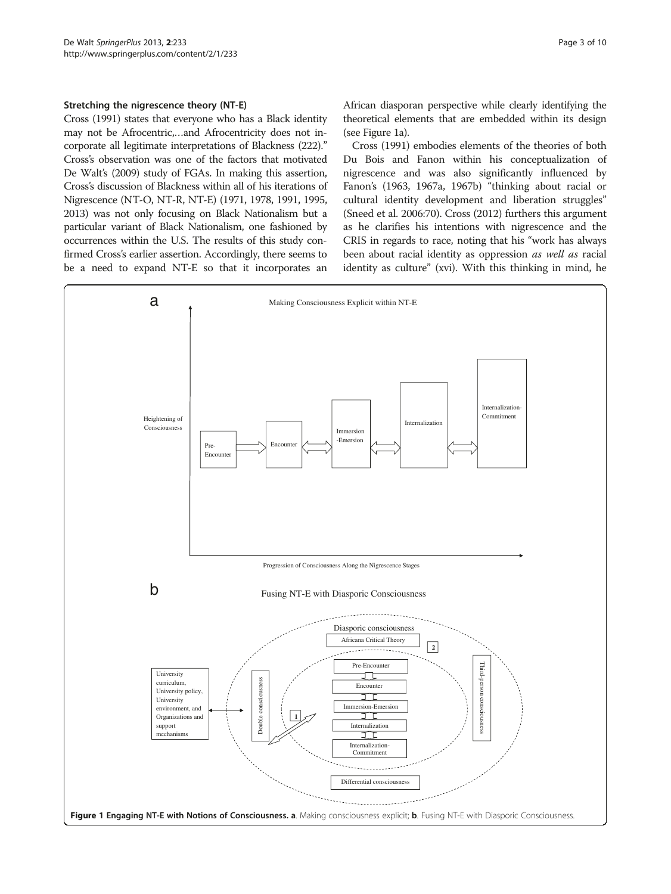#### <span id="page-2-0"></span>Stretching the nigrescence theory (NT-E)

Cross [\(1991](#page-8-0)) states that everyone who has a Black identity may not be Afrocentric,…and Afrocentricity does not incorporate all legitimate interpretations of Blackness (222)." Cross's observation was one of the factors that motivated De Walt's [\(2009](#page-8-0)) study of FGAs. In making this assertion, Cross's discussion of Blackness within all of his iterations of Nigrescence (NT-O, NT-R, NT-E) (1971, 1978, 1991, 1995, 2013) was not only focusing on Black Nationalism but a particular variant of Black Nationalism, one fashioned by occurrences within the U.S. The results of this study confirmed Cross's earlier assertion. Accordingly, there seems to be a need to expand NT-E so that it incorporates an African diasporan perspective while clearly identifying the theoretical elements that are embedded within its design (see Figure 1a).

Cross ([1991\)](#page-8-0) embodies elements of the theories of both Du Bois and Fanon within his conceptualization of nigrescence and was also significantly influenced by Fanon's ([1963](#page-8-0), [1967a](#page-8-0), [1967b\)](#page-8-0) "thinking about racial or cultural identity development and liberation struggles" (Sneed et al. [2006](#page-9-0):70). Cross [\(2012\)](#page-8-0) furthers this argument as he clarifies his intentions with nigrescence and the CRIS in regards to race, noting that his "work has always been about racial identity as oppression as well as racial identity as culture" (xvi). With this thinking in mind, he

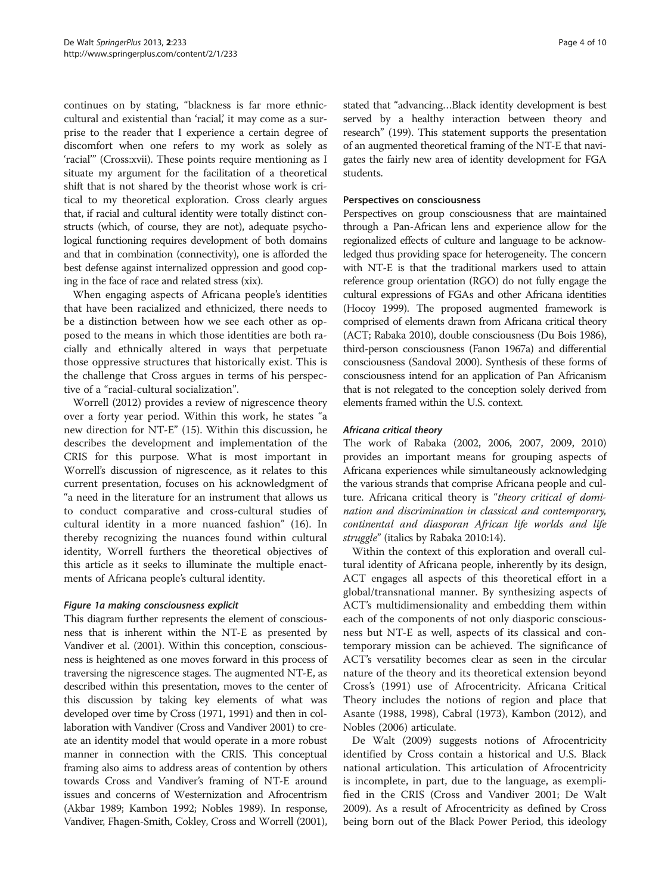continues on by stating, "blackness is far more ethniccultural and existential than 'racial' it may come as a surprise to the reader that I experience a certain degree of discomfort when one refers to my work as solely as 'racial'" (Cross:xvii). These points require mentioning as I situate my argument for the facilitation of a theoretical shift that is not shared by the theorist whose work is critical to my theoretical exploration. Cross clearly argues that, if racial and cultural identity were totally distinct constructs (which, of course, they are not), adequate psychological functioning requires development of both domains and that in combination (connectivity), one is afforded the best defense against internalized oppression and good coping in the face of race and related stress (xix).

When engaging aspects of Africana people's identities that have been racialized and ethnicized, there needs to be a distinction between how we see each other as opposed to the means in which those identities are both racially and ethnically altered in ways that perpetuate those oppressive structures that historically exist. This is the challenge that Cross argues in terms of his perspective of a "racial-cultural socialization".

Worrell ([2012](#page-9-0)) provides a review of nigrescence theory over a forty year period. Within this work, he states "a new direction for NT-E" (15). Within this discussion, he describes the development and implementation of the CRIS for this purpose. What is most important in Worrell's discussion of nigrescence, as it relates to this current presentation, focuses on his acknowledgment of "a need in the literature for an instrument that allows us to conduct comparative and cross-cultural studies of cultural identity in a more nuanced fashion" (16). In thereby recognizing the nuances found within cultural identity, Worrell furthers the theoretical objectives of this article as it seeks to illuminate the multiple enactments of Africana people's cultural identity.

## Figure [1](#page-2-0)a making consciousness explicit

This diagram further represents the element of consciousness that is inherent within the NT-E as presented by Vandiver et al. ([2001\)](#page-9-0). Within this conception, consciousness is heightened as one moves forward in this process of traversing the nigrescence stages. The augmented NT-E, as described within this presentation, moves to the center of this discussion by taking key elements of what was developed over time by Cross [\(1971](#page-8-0), [1991\)](#page-8-0) and then in collaboration with Vandiver (Cross and Vandiver [2001\)](#page-8-0) to create an identity model that would operate in a more robust manner in connection with the CRIS. This conceptual framing also aims to address areas of contention by others towards Cross and Vandiver's framing of NT-E around issues and concerns of Westernization and Afrocentrism (Akbar [1989;](#page-8-0) Kambon [1992](#page-8-0); Nobles [1989\)](#page-8-0). In response, Vandiver, Fhagen-Smith, Cokley, Cross and Worrell [\(2001](#page-9-0)),

stated that "advancing…Black identity development is best served by a healthy interaction between theory and research" (199). This statement supports the presentation of an augmented theoretical framing of the NT-E that navigates the fairly new area of identity development for FGA students.

#### Perspectives on consciousness

Perspectives on group consciousness that are maintained through a Pan-African lens and experience allow for the regionalized effects of culture and language to be acknowledged thus providing space for heterogeneity. The concern with NT-E is that the traditional markers used to attain reference group orientation (RGO) do not fully engage the cultural expressions of FGAs and other Africana identities (Hocoy [1999](#page-8-0)). The proposed augmented framework is comprised of elements drawn from Africana critical theory (ACT; Rabaka [2010](#page-9-0)), double consciousness (Du Bois [1986](#page-8-0)), third-person consciousness (Fanon [1967a](#page-8-0)) and differential consciousness (Sandoval [2000](#page-9-0)). Synthesis of these forms of consciousness intend for an application of Pan Africanism that is not relegated to the conception solely derived from elements framed within the U.S. context.

#### Africana critical theory

The work of Rabaka ([2002, 2006, 2007](#page-9-0), [2009, 2010](#page-9-0)) provides an important means for grouping aspects of Africana experiences while simultaneously acknowledging the various strands that comprise Africana people and culture. Africana critical theory is "theory critical of domination and discrimination in classical and contemporary, continental and diasporan African life worlds and life struggle" (italics by Rabaka [2010](#page-9-0):14).

Within the context of this exploration and overall cultural identity of Africana people, inherently by its design, ACT engages all aspects of this theoretical effort in a global/transnational manner. By synthesizing aspects of ACT's multidimensionality and embedding them within each of the components of not only diasporic consciousness but NT-E as well, aspects of its classical and contemporary mission can be achieved. The significance of ACT's versatility becomes clear as seen in the circular nature of the theory and its theoretical extension beyond Cross's ([1991](#page-8-0)) use of Afrocentricity. Africana Critical Theory includes the notions of region and place that Asante [\(1988](#page-8-0), [1998](#page-8-0)), Cabral ([1973\)](#page-8-0), Kambon [\(2012\)](#page-8-0), and Nobles [\(2006\)](#page-9-0) articulate.

De Walt ([2009](#page-8-0)) suggests notions of Afrocentricity identified by Cross contain a historical and U.S. Black national articulation. This articulation of Afrocentricity is incomplete, in part, due to the language, as exemplified in the CRIS (Cross and Vandiver [2001;](#page-8-0) De Walt [2009](#page-8-0)). As a result of Afrocentricity as defined by Cross being born out of the Black Power Period, this ideology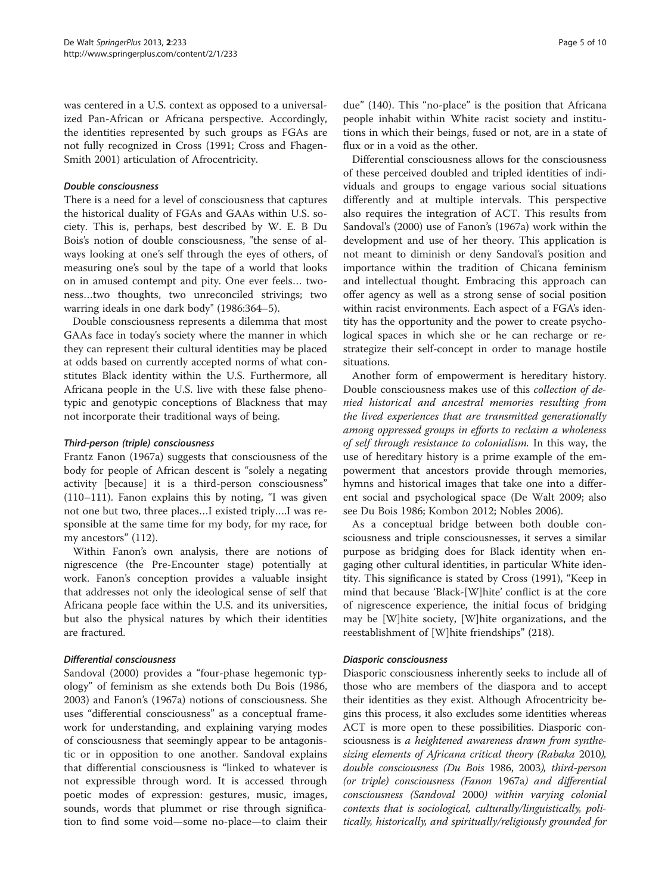was centered in a U.S. context as opposed to a universalized Pan-African or Africana perspective. Accordingly, the identities represented by such groups as FGAs are not fully recognized in Cross [\(1991;](#page-8-0) Cross and Fhagen-Smith [2001\)](#page-8-0) articulation of Afrocentricity.

#### Double consciousness

There is a need for a level of consciousness that captures the historical duality of FGAs and GAAs within U.S. society. This is, perhaps, best described by W. E. B Du Bois's notion of double consciousness, "the sense of always looking at one's self through the eyes of others, of measuring one's soul by the tape of a world that looks on in amused contempt and pity. One ever feels… twoness…two thoughts, two unreconciled strivings; two warring ideals in one dark body" (1986:364–5).

Double consciousness represents a dilemma that most GAAs face in today's society where the manner in which they can represent their cultural identities may be placed at odds based on currently accepted norms of what constitutes Black identity within the U.S. Furthermore, all Africana people in the U.S. live with these false phenotypic and genotypic conceptions of Blackness that may not incorporate their traditional ways of being.

#### Third-person (triple) consciousness

Frantz Fanon [\(1967a](#page-8-0)) suggests that consciousness of the body for people of African descent is "solely a negating activity [because] it is a third-person consciousness" (110–111). Fanon explains this by noting, "I was given not one but two, three places…I existed triply….I was responsible at the same time for my body, for my race, for my ancestors" (112).

Within Fanon's own analysis, there are notions of nigrescence (the Pre-Encounter stage) potentially at work. Fanon's conception provides a valuable insight that addresses not only the ideological sense of self that Africana people face within the U.S. and its universities, but also the physical natures by which their identities are fractured.

#### Differential consciousness

Sandoval ([2000](#page-9-0)) provides a "four-phase hegemonic typology" of feminism as she extends both Du Bois ([1986](#page-8-0), [2003](#page-8-0)) and Fanon's ([1967a\)](#page-8-0) notions of consciousness. She uses "differential consciousness" as a conceptual framework for understanding, and explaining varying modes of consciousness that seemingly appear to be antagonistic or in opposition to one another. Sandoval explains that differential consciousness is "linked to whatever is not expressible through word. It is accessed through poetic modes of expression: gestures, music, images, sounds, words that plummet or rise through signification to find some void—some no-place—to claim their due" (140). This "no-place" is the position that Africana people inhabit within White racist society and institutions in which their beings, fused or not, are in a state of flux or in a void as the other.

Differential consciousness allows for the consciousness of these perceived doubled and tripled identities of individuals and groups to engage various social situations differently and at multiple intervals. This perspective also requires the integration of ACT. This results from Sandoval's ([2000](#page-9-0)) use of Fanon's ([1967a\)](#page-8-0) work within the development and use of her theory. This application is not meant to diminish or deny Sandoval's position and importance within the tradition of Chicana feminism and intellectual thought. Embracing this approach can offer agency as well as a strong sense of social position within racist environments. Each aspect of a FGA's identity has the opportunity and the power to create psychological spaces in which she or he can recharge or restrategize their self-concept in order to manage hostile situations.

Another form of empowerment is hereditary history. Double consciousness makes use of this collection of denied historical and ancestral memories resulting from the lived experiences that are transmitted generationally among oppressed groups in efforts to reclaim a wholeness of self through resistance to colonialism. In this way, the use of hereditary history is a prime example of the empowerment that ancestors provide through memories, hymns and historical images that take one into a different social and psychological space (De Walt [2009](#page-8-0); also see Du Bois [1986;](#page-8-0) Kombon [2012;](#page-8-0) Nobles [2006\)](#page-9-0).

As a conceptual bridge between both double consciousness and triple consciousnesses, it serves a similar purpose as bridging does for Black identity when engaging other cultural identities, in particular White identity. This significance is stated by Cross ([1991\)](#page-8-0), "Keep in mind that because 'Black-[W]hite' conflict is at the core of nigrescence experience, the initial focus of bridging may be [W]hite society, [W]hite organizations, and the reestablishment of [W]hite friendships" (218).

## Diasporic consciousness

Diasporic consciousness inherently seeks to include all of those who are members of the diaspora and to accept their identities as they exist. Although Afrocentricity begins this process, it also excludes some identities whereas ACT is more open to these possibilities. Diasporic consciousness is a heightened awareness drawn from synthesizing elements of Africana critical theory (Rabaka [2010](#page-9-0)), double consciousness (Du Bois [1986, 2003](#page-8-0)), third-person (or triple) consciousness (Fanon [1967a](#page-8-0)) and differential consciousness (Sandoval [2000](#page-9-0)) within varying colonial contexts that is sociological, culturally/linguistically, politically, historically, and spiritually/religiously grounded for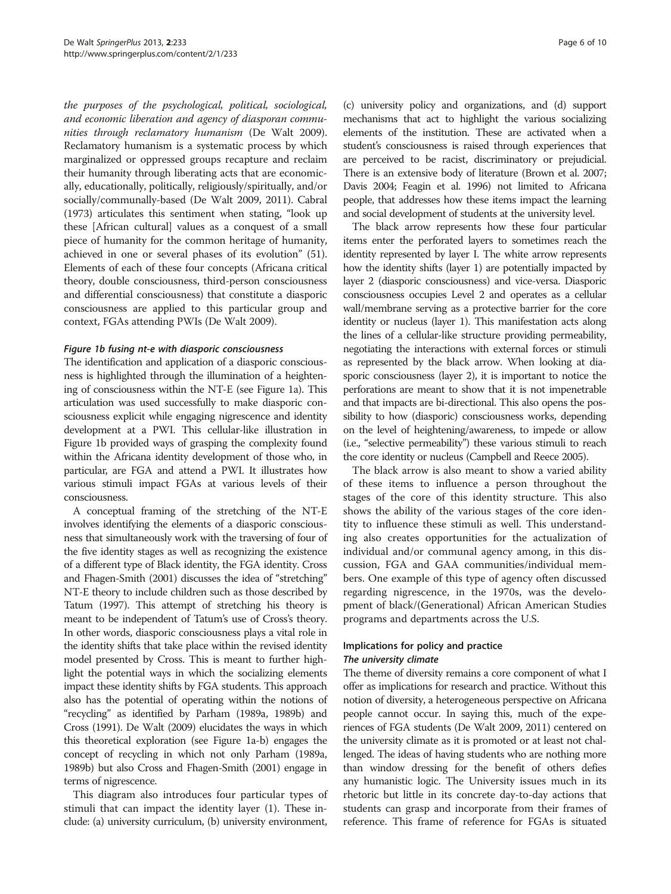the purposes of the psychological, political, sociological, and economic liberation and agency of diasporan communities through reclamatory humanism (De Walt [2009](#page-8-0)). Reclamatory humanism is a systematic process by which marginalized or oppressed groups recapture and reclaim their humanity through liberating acts that are economically, educationally, politically, religiously/spiritually, and/or socially/communally-based (De Walt [2009, 2011](#page-8-0)). Cabral ([1973](#page-8-0)) articulates this sentiment when stating, "look up these [African cultural] values as a conquest of a small piece of humanity for the common heritage of humanity, achieved in one or several phases of its evolution" (51). Elements of each of these four concepts (Africana critical theory, double consciousness, third-person consciousness and differential consciousness) that constitute a diasporic consciousness are applied to this particular group and context, FGAs attending PWIs (De Walt [2009\)](#page-8-0).

#### Figure [1](#page-2-0)b fusing nt-e with diasporic consciousness

The identification and application of a diasporic consciousness is highlighted through the illumination of a heightening of consciousness within the NT-E (see Figure [1a](#page-2-0)). This articulation was used successfully to make diasporic consciousness explicit while engaging nigrescence and identity development at a PWI. This cellular-like illustration in Figure [1](#page-2-0)b provided ways of grasping the complexity found within the Africana identity development of those who, in particular, are FGA and attend a PWI. It illustrates how various stimuli impact FGAs at various levels of their consciousness.

A conceptual framing of the stretching of the NT-E involves identifying the elements of a diasporic consciousness that simultaneously work with the traversing of four of the five identity stages as well as recognizing the existence of a different type of Black identity, the FGA identity. Cross and Fhagen-Smith [\(2001](#page-8-0)) discusses the idea of "stretching" NT-E theory to include children such as those described by Tatum [\(1997\)](#page-9-0). This attempt of stretching his theory is meant to be independent of Tatum's use of Cross's theory. In other words, diasporic consciousness plays a vital role in the identity shifts that take place within the revised identity model presented by Cross. This is meant to further highlight the potential ways in which the socializing elements impact these identity shifts by FGA students. This approach also has the potential of operating within the notions of "recycling" as identified by Parham ([1989a, 1989b](#page-9-0)) and Cross [\(1991\)](#page-8-0). De Walt [\(2009\)](#page-8-0) elucidates the ways in which this theoretical exploration (see Figure [1](#page-2-0)a-b) engages the concept of recycling in which not only Parham [\(1989a](#page-9-0), [1989b\)](#page-9-0) but also Cross and Fhagen-Smith [\(2001\)](#page-8-0) engage in terms of nigrescence.

This diagram also introduces four particular types of stimuli that can impact the identity layer (1). These include: (a) university curriculum, (b) university environment,

(c) university policy and organizations, and (d) support mechanisms that act to highlight the various socializing elements of the institution. These are activated when a student's consciousness is raised through experiences that are perceived to be racist, discriminatory or prejudicial. There is an extensive body of literature (Brown et al. [2007](#page-8-0); Davis [2004](#page-8-0); Feagin et al. [1996](#page-8-0)) not limited to Africana people, that addresses how these items impact the learning and social development of students at the university level.

The black arrow represents how these four particular items enter the perforated layers to sometimes reach the identity represented by layer I. The white arrow represents how the identity shifts (layer 1) are potentially impacted by layer 2 (diasporic consciousness) and vice-versa. Diasporic consciousness occupies Level 2 and operates as a cellular wall/membrane serving as a protective barrier for the core identity or nucleus (layer 1). This manifestation acts along the lines of a cellular-like structure providing permeability, negotiating the interactions with external forces or stimuli as represented by the black arrow. When looking at diasporic consciousness (layer 2), it is important to notice the perforations are meant to show that it is not impenetrable and that impacts are bi-directional. This also opens the possibility to how (diasporic) consciousness works, depending on the level of heightening/awareness, to impede or allow (i.e., "selective permeability") these various stimuli to reach the core identity or nucleus (Campbell and Reece [2005\)](#page-8-0).

The black arrow is also meant to show a varied ability of these items to influence a person throughout the stages of the core of this identity structure. This also shows the ability of the various stages of the core identity to influence these stimuli as well. This understanding also creates opportunities for the actualization of individual and/or communal agency among, in this discussion, FGA and GAA communities/individual members. One example of this type of agency often discussed regarding nigrescence, in the 1970s, was the development of black/(Generational) African American Studies programs and departments across the U.S.

## Implications for policy and practice The university climate

The theme of diversity remains a core component of what I offer as implications for research and practice. Without this notion of diversity, a heterogeneous perspective on Africana people cannot occur. In saying this, much of the experiences of FGA students (De Walt 2009, 2011) centered on the university climate as it is promoted or at least not challenged. The ideas of having students who are nothing more than window dressing for the benefit of others defies any humanistic logic. The University issues much in its rhetoric but little in its concrete day-to-day actions that students can grasp and incorporate from their frames of reference. This frame of reference for FGAs is situated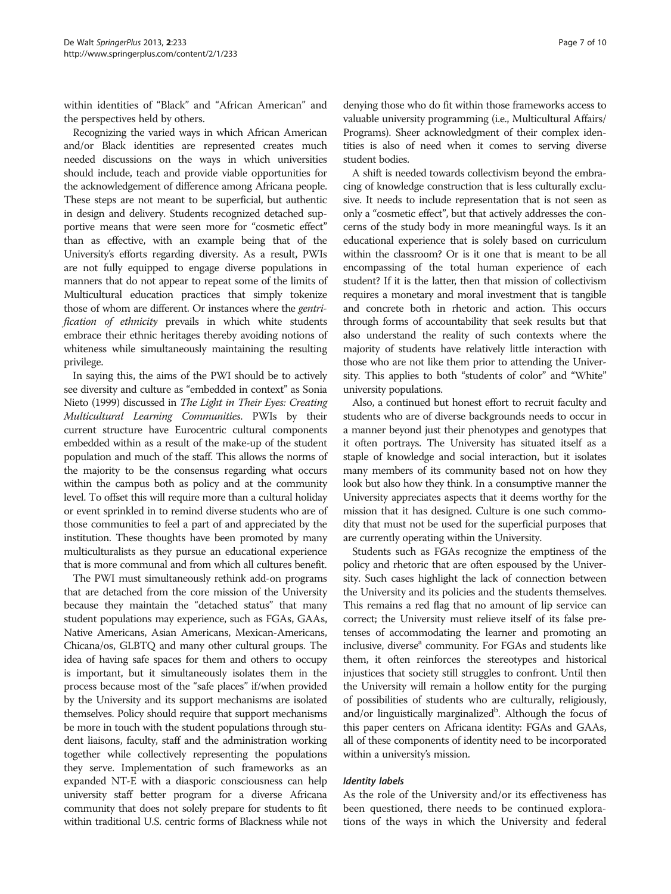within identities of "Black" and "African American" and the perspectives held by others.

Recognizing the varied ways in which African American and/or Black identities are represented creates much needed discussions on the ways in which universities should include, teach and provide viable opportunities for the acknowledgement of difference among Africana people. These steps are not meant to be superficial, but authentic in design and delivery. Students recognized detached supportive means that were seen more for "cosmetic effect" than as effective, with an example being that of the University's efforts regarding diversity. As a result, PWIs are not fully equipped to engage diverse populations in manners that do not appear to repeat some of the limits of Multicultural education practices that simply tokenize those of whom are different. Or instances where the *gentri*fication of ethnicity prevails in which white students embrace their ethnic heritages thereby avoiding notions of whiteness while simultaneously maintaining the resulting privilege.

In saying this, the aims of the PWI should be to actively see diversity and culture as "embedded in context" as Sonia Nieto [\(1999](#page-8-0)) discussed in The Light in Their Eyes: Creating Multicultural Learning Communities. PWIs by their current structure have Eurocentric cultural components embedded within as a result of the make-up of the student population and much of the staff. This allows the norms of the majority to be the consensus regarding what occurs within the campus both as policy and at the community level. To offset this will require more than a cultural holiday or event sprinkled in to remind diverse students who are of those communities to feel a part of and appreciated by the institution. These thoughts have been promoted by many multiculturalists as they pursue an educational experience that is more communal and from which all cultures benefit.

The PWI must simultaneously rethink add-on programs that are detached from the core mission of the University because they maintain the "detached status" that many student populations may experience, such as FGAs, GAAs, Native Americans, Asian Americans, Mexican-Americans, Chicana/os, GLBTQ and many other cultural groups. The idea of having safe spaces for them and others to occupy is important, but it simultaneously isolates them in the process because most of the "safe places" if/when provided by the University and its support mechanisms are isolated themselves. Policy should require that support mechanisms be more in touch with the student populations through student liaisons, faculty, staff and the administration working together while collectively representing the populations they serve. Implementation of such frameworks as an expanded NT-E with a diasporic consciousness can help university staff better program for a diverse Africana community that does not solely prepare for students to fit within traditional U.S. centric forms of Blackness while not

denying those who do fit within those frameworks access to valuable university programming (i.e., Multicultural Affairs/ Programs). Sheer acknowledgment of their complex identities is also of need when it comes to serving diverse student bodies.

A shift is needed towards collectivism beyond the embracing of knowledge construction that is less culturally exclusive. It needs to include representation that is not seen as only a "cosmetic effect", but that actively addresses the concerns of the study body in more meaningful ways. Is it an educational experience that is solely based on curriculum within the classroom? Or is it one that is meant to be all encompassing of the total human experience of each student? If it is the latter, then that mission of collectivism requires a monetary and moral investment that is tangible and concrete both in rhetoric and action. This occurs through forms of accountability that seek results but that also understand the reality of such contexts where the majority of students have relatively little interaction with those who are not like them prior to attending the University. This applies to both "students of color" and "White" university populations.

Also, a continued but honest effort to recruit faculty and students who are of diverse backgrounds needs to occur in a manner beyond just their phenotypes and genotypes that it often portrays. The University has situated itself as a staple of knowledge and social interaction, but it isolates many members of its community based not on how they look but also how they think. In a consumptive manner the University appreciates aspects that it deems worthy for the mission that it has designed. Culture is one such commodity that must not be used for the superficial purposes that are currently operating within the University.

Students such as FGAs recognize the emptiness of the policy and rhetoric that are often espoused by the University. Such cases highlight the lack of connection between the University and its policies and the students themselves. This remains a red flag that no amount of lip service can correct; the University must relieve itself of its false pretenses of accommodating the learner and promoting an inclusive, diverse<sup>a</sup> community. For FGAs and students like them, it often reinforces the stereotypes and historical injustices that society still struggles to confront. Until then the University will remain a hollow entity for the purging of possibilities of students who are culturally, religiously, and/or linguistically marginalized<sup>b</sup>. Although the focus of this paper centers on Africana identity: FGAs and GAAs, all of these components of identity need to be incorporated within a university's mission.

## Identity labels

As the role of the University and/or its effectiveness has been questioned, there needs to be continued explorations of the ways in which the University and federal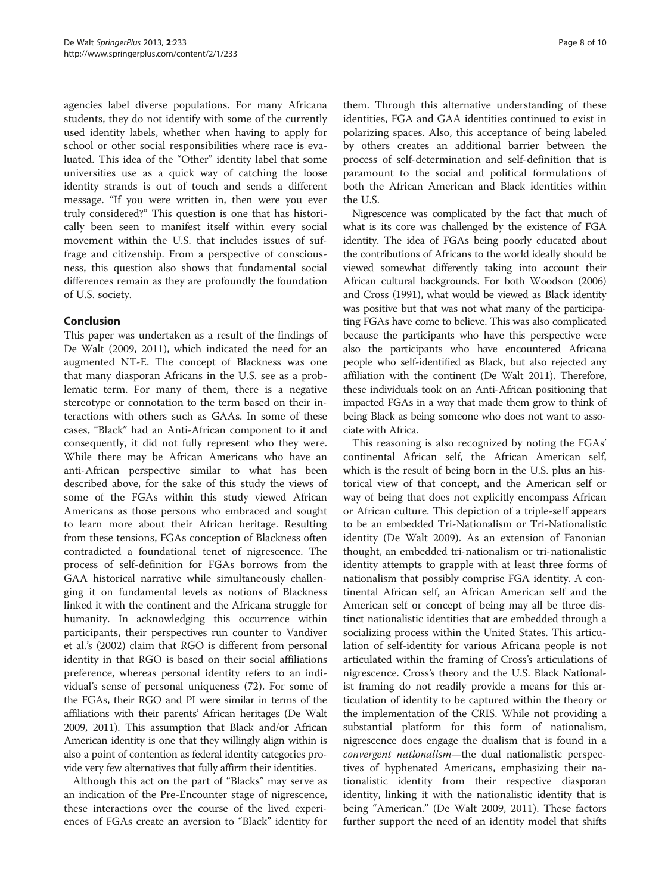agencies label diverse populations. For many Africana students, they do not identify with some of the currently used identity labels, whether when having to apply for school or other social responsibilities where race is evaluated. This idea of the "Other" identity label that some universities use as a quick way of catching the loose identity strands is out of touch and sends a different message. "If you were written in, then were you ever truly considered?" This question is one that has historically been seen to manifest itself within every social movement within the U.S. that includes issues of suffrage and citizenship. From a perspective of consciousness, this question also shows that fundamental social differences remain as they are profoundly the foundation of U.S. society.

## Conclusion

This paper was undertaken as a result of the findings of De Walt ([2009](#page-8-0), [2011](#page-8-0)), which indicated the need for an augmented NT-E. The concept of Blackness was one that many diasporan Africans in the U.S. see as a problematic term. For many of them, there is a negative stereotype or connotation to the term based on their interactions with others such as GAAs. In some of these cases, "Black" had an Anti-African component to it and consequently, it did not fully represent who they were. While there may be African Americans who have an anti-African perspective similar to what has been described above, for the sake of this study the views of some of the FGAs within this study viewed African Americans as those persons who embraced and sought to learn more about their African heritage. Resulting from these tensions, FGAs conception of Blackness often contradicted a foundational tenet of nigrescence. The process of self-definition for FGAs borrows from the GAA historical narrative while simultaneously challenging it on fundamental levels as notions of Blackness linked it with the continent and the Africana struggle for humanity. In acknowledging this occurrence within participants, their perspectives run counter to Vandiver et al.'s ([2002](#page-9-0)) claim that RGO is different from personal identity in that RGO is based on their social affiliations preference, whereas personal identity refers to an individual's sense of personal uniqueness (72). For some of the FGAs, their RGO and PI were similar in terms of the affiliations with their parents' African heritages (De Walt [2009, 2011](#page-8-0)). This assumption that Black and/or African American identity is one that they willingly align within is also a point of contention as federal identity categories provide very few alternatives that fully affirm their identities.

Although this act on the part of "Blacks" may serve as an indication of the Pre-Encounter stage of nigrescence, these interactions over the course of the lived experiences of FGAs create an aversion to "Black" identity for them. Through this alternative understanding of these identities, FGA and GAA identities continued to exist in polarizing spaces. Also, this acceptance of being labeled by others creates an additional barrier between the process of self-determination and self-definition that is paramount to the social and political formulations of both the African American and Black identities within the U.S.

Nigrescence was complicated by the fact that much of what is its core was challenged by the existence of FGA identity. The idea of FGAs being poorly educated about the contributions of Africans to the world ideally should be viewed somewhat differently taking into account their African cultural backgrounds. For both Woodson [\(2006](#page-9-0)) and Cross [\(1991](#page-8-0)), what would be viewed as Black identity was positive but that was not what many of the participating FGAs have come to believe. This was also complicated because the participants who have this perspective were also the participants who have encountered Africana people who self-identified as Black, but also rejected any affiliation with the continent (De Walt [2011](#page-8-0)). Therefore, these individuals took on an Anti-African positioning that impacted FGAs in a way that made them grow to think of being Black as being someone who does not want to associate with Africa.

This reasoning is also recognized by noting the FGAs' continental African self, the African American self, which is the result of being born in the U.S. plus an historical view of that concept, and the American self or way of being that does not explicitly encompass African or African culture. This depiction of a triple-self appears to be an embedded Tri-Nationalism or Tri-Nationalistic identity (De Walt [2009](#page-8-0)). As an extension of Fanonian thought, an embedded tri-nationalism or tri-nationalistic identity attempts to grapple with at least three forms of nationalism that possibly comprise FGA identity. A continental African self, an African American self and the American self or concept of being may all be three distinct nationalistic identities that are embedded through a socializing process within the United States. This articulation of self-identity for various Africana people is not articulated within the framing of Cross's articulations of nigrescence. Cross's theory and the U.S. Black Nationalist framing do not readily provide a means for this articulation of identity to be captured within the theory or the implementation of the CRIS. While not providing a substantial platform for this form of nationalism, nigrescence does engage the dualism that is found in a convergent nationalism—the dual nationalistic perspectives of hyphenated Americans, emphasizing their nationalistic identity from their respective diasporan identity, linking it with the nationalistic identity that is being "American." (De Walt [2009](#page-8-0), [2011](#page-8-0)). These factors further support the need of an identity model that shifts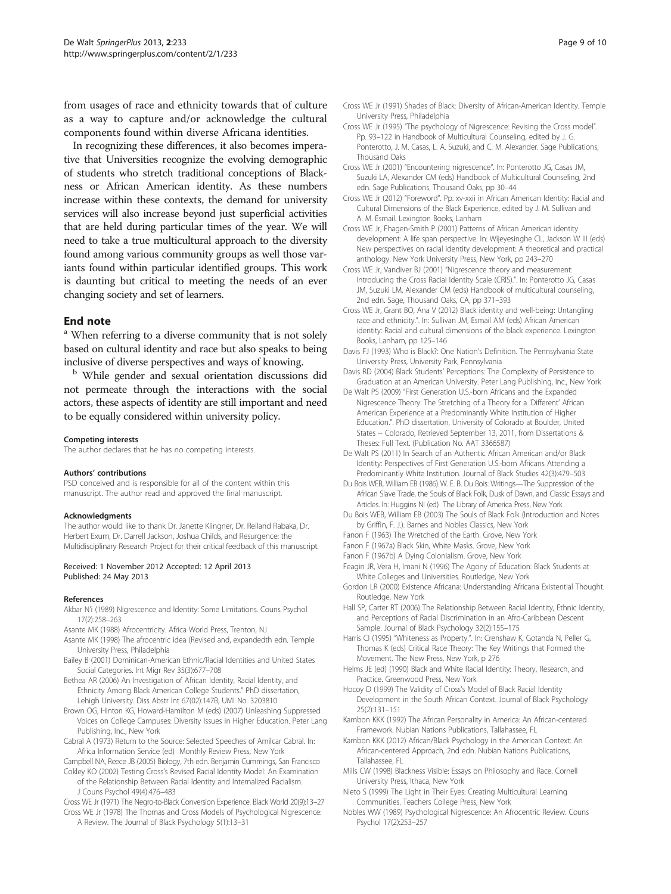<span id="page-8-0"></span>from usages of race and ethnicity towards that of culture as a way to capture and/or acknowledge the cultural components found within diverse Africana identities.

In recognizing these differences, it also becomes imperative that Universities recognize the evolving demographic of students who stretch traditional conceptions of Blackness or African American identity. As these numbers increase within these contexts, the demand for university services will also increase beyond just superficial activities that are held during particular times of the year. We will need to take a true multicultural approach to the diversity found among various community groups as well those variants found within particular identified groups. This work is daunting but critical to meeting the needs of an ever changing society and set of learners.

#### End note

<sup>a</sup> When referring to a diverse community that is not solely based on cultural identity and race but also speaks to being inclusive of diverse perspectives and ways of knowing.

<sup>b</sup> While gender and sexual orientation discussions did not permeate through the interactions with the social actors, these aspects of identity are still important and need to be equally considered within university policy.

#### Competing interests

The author declares that he has no competing interests.

#### Authors' contributions

PSD conceived and is responsible for all of the content within this manuscript. The author read and approved the final manuscript.

#### Acknowledgments

The author would like to thank Dr. Janette Klingner, Dr. Reiland Rabaka, Dr. Herbert Exum, Dr. Darrell Jackson, Joshua Childs, and Resurgence: the Multidisciplinary Research Project for their critical feedback of this manuscript.

#### Received: 1 November 2012 Accepted: 12 April 2013 Published: 24 May 2013

#### References

- Akbar N'i (1989) Nigrescence and Identity: Some Limitations. Couns Psychol 17(2):258–263
- Asante MK (1988) Afrocentricity. Africa World Press, Trenton, NJ
- Asante MK (1998) The afrocentric idea (Revised and, expandedth edn. Temple University Press, Philadelphia
- Bailey B (2001) Dominican-American Ethnic/Racial Identities and United States Social Categories. Int Migr Rev 35(3):677–708
- Bethea AR (2006) An Investigation of African Identity, Racial Identity, and Ethnicity Among Black American College Students." PhD dissertation, Lehigh University. Diss Abstr Int 67(02):147B, UMI No. 3203810
- Brown OG, Hinton KG, Howard-Hamilton M (eds) (2007) Unleashing Suppressed Voices on College Campuses: Diversity Issues in Higher Education. Peter Lang Publishing, Inc., New York
- Cabral A (1973) Return to the Source: Selected Speeches of Amilcar Cabral. In: Africa Information Service (ed) Monthly Review Press, New York
- Campbell NA, Reece JB (2005) Biology, 7th edn. Benjamin Cummings, San Francisco Cokley KO (2002) Testing Cross's Revised Racial Identity Model: An Examination
	- of the Relationship Between Racial Identity and Internalized Racialism. J Couns Psychol 49(4):476–483
- Cross WE Jr (1971) The Negro-to-Black Conversion Experience. Black World 20(9):13–27 Cross WE Jr (1978) The Thomas and Cross Models of Psychological Nigrescence:
	- A Review. The Journal of Black Psychology 5(1):13–31
- Cross WE Jr (1991) Shades of Black: Diversity of African-American Identity. Temple University Press, Philadelphia
- Cross WE Jr (1995) "The psychology of Nigrescence: Revising the Cross model". Pp. 93–122 in Handbook of Multicultural Counseling, edited by J. G. Ponterotto, J. M. Casas, L. A. Suzuki, and C. M. Alexander. Sage Publications, Thousand Oaks
- Cross WE Jr (2001) "Encountering nigrescence". In: Ponterotto JG, Casas JM, Suzuki LA, Alexander CM (eds) Handbook of Multicultural Counseling, 2nd edn. Sage Publications, Thousand Oaks, pp 30–44
- Cross WE Jr (2012) "Foreword". Pp. xv-xxii in African American Identity: Racial and Cultural Dimensions of the Black Experience, edited by J. M. Sullivan and A. M. Esmail. Lexington Books, Lanham
- Cross WE Jr, Fhagen-Smith P (2001) Patterns of African American identity development: A life span perspective. In: Wijeyesinghe CL, Jackson W III (eds) New perspectives on racial identity development: A theoretical and practical anthology. New York University Press, New York, pp 243–270
- Cross WE Jr, Vandiver BJ (2001) "Nigrescence theory and measurement: Introducing the Cross Racial Identity Scale (CRIS).". In: Ponterotto JG, Casas JM, Suzuki LM, Alexander CM (eds) Handbook of multicultural counseling, 2nd edn. Sage, Thousand Oaks, CA, pp 371–393
- Cross WE Jr, Grant BO, Ana V (2012) Black identity and well-being: Untangling race and ethnicity.". In: Sullivan JM, Esmail AM (eds) African American identity: Racial and cultural dimensions of the black experience. Lexington Books, Lanham, pp 125–146
- Davis FJ (1993) Who is Black?: One Nation's Definition. The Pennsylvania State University Press, University Park, Pennsylvania
- Davis RD (2004) Black Students' Perceptions: The Complexity of Persistence to Graduation at an American University. Peter Lang Publishing, Inc., New York
- De Walt PS (2009) "First Generation U.S.-born Africans and the Expanded Nigrescence Theory: The Stretching of a Theory for a 'Different' African American Experience at a Predominantly White Institution of Higher Education.". PhD dissertation, University of Colorado at Boulder, United States -- Colorado, Retrieved September 13, 2011, from Dissertations & Theses: Full Text. (Publication No. AAT 3366587)
- De Walt PS (2011) In Search of an Authentic African American and/or Black Identity: Perspectives of First Generation U.S.-born Africans Attending a Predominantly White Institution. Journal of Black Studies 42(3):479–503
- Du Bois WEB, William EB (1986) W. E. B. Du Bois: Writings—The Suppression of the African Slave Trade, the Souls of Black Folk, Dusk of Dawn, and Classic Essays and Articles. In: Huggins NI (ed) The Library of America Press, New York
- Du Bois WEB, William EB (2003) The Souls of Black Folk (Introduction and Notes by Griffin, F. J.). Barnes and Nobles Classics, New York
- Fanon F (1963) The Wretched of the Earth. Grove, New York
- Fanon F (1967a) Black Skin, White Masks. Grove, New York
- Fanon F (1967b) A Dying Colonialism. Grove, New York
- Feagin JR, Vera H, Imani N (1996) The Agony of Education: Black Students at White Colleges and Universities. Routledge, New York
- Gordon LR (2000) Existence Africana: Understanding Africana Existential Thought. Routledge, New York
- Hall SP, Carter RT (2006) The Relationship Between Racial Identity, Ethnic Identity, and Perceptions of Racial Discrimination in an Afro-Caribbean Descent Sample. Journal of Black Psychology 32(2):155–175
- Harris CI (1995) "Whiteness as Property.". In: Crenshaw K, Gotanda N, Peller G, Thomas K (eds) Critical Race Theory: The Key Writings that Formed the Movement. The New Press, New York, p 276
- Helms JE (ed) (1990) Black and White Racial Identity: Theory, Research, and Practice. Greenwood Press, New York
- Hocoy D (1999) The Validity of Cross's Model of Black Racial Identity Development in the South African Context. Journal of Black Psychology 25(2):131–151
- Kambon KKK (1992) The African Personality in America: An African-centered Framework. Nubian Nations Publications, Tallahassee, FL
- Kambon KKK (2012) African/Black Psychology in the American Context: An African-centered Approach, 2nd edn. Nubian Nations Publications, Tallahassee, FL
- Mills CW (1998) Blackness Visible: Essays on Philosophy and Race. Cornell University Press, Ithaca, New York
- Nieto S (1999) The Light in Their Eyes: Creating Multicultural Learning Communities. Teachers College Press, New York
- Nobles WW (1989) Psychological Nigrescence: An Afrocentric Review. Couns Psychol 17(2):253–257